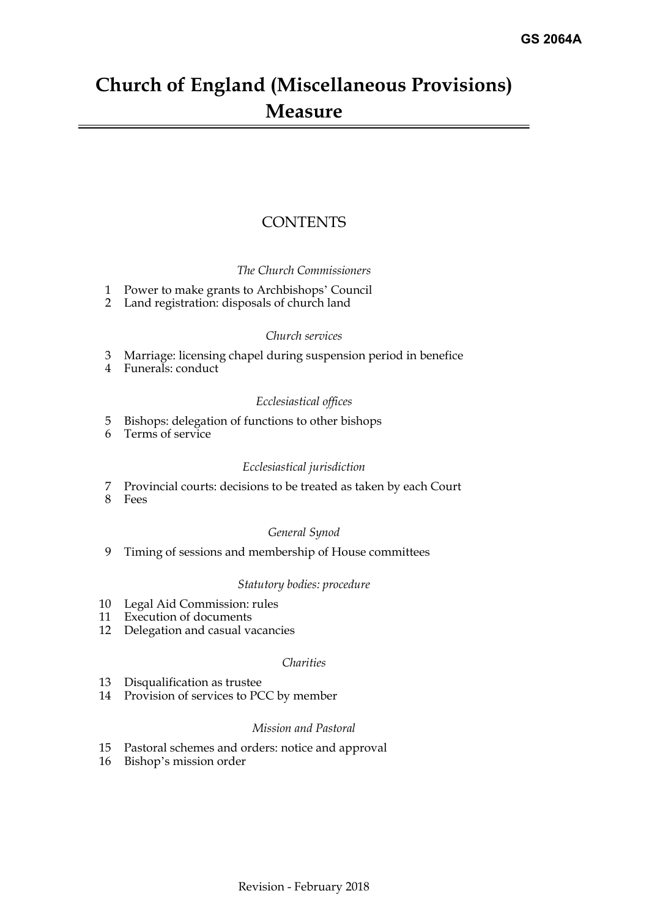# **Church of England (Miscellaneous Provisions) Measure**

## **CONTENTS**

#### *The Church Commissioners*

- [1 Power to make grants to Archbishops' Council](#page-2-0)
- [2 Land registration: disposals of church land](#page-2-1)

#### *Church services*

- [3 Marriage: licensing chapel during suspension period in benefice](#page-3-0)
- [4 Funerals: conduct](#page-3-1)

#### *Ecclesiastical offices*

- [5 Bishops: delegation of functions to other bishops](#page-4-0)
- [6 Terms of service](#page-4-1)

#### *Ecclesiastical jurisdiction*

- [7 Provincial courts: decisions to be treated as taken by each Court](#page-6-0)
- [8 Fees](#page-7-0)

#### *General Synod*

[9 Timing of sessions and membership of House committees](#page-8-0)

#### *Statutory bodies: procedure*

- [10 Legal Aid Commission: rules](#page-9-0)
- [11 Execution of documents](#page-9-1)
- [12 Delegation and casual vacancies](#page-11-0)

#### *Charities*

- [13 Disqualification as trustee](#page-12-0)
- [14 Provision of services to PCC by member](#page-12-1)

#### *Mission and Pastoral*

- [15 Pastoral schemes and orders: notice and approval](#page-12-2)
- 16 [Bishop's mission order](#page-13-0)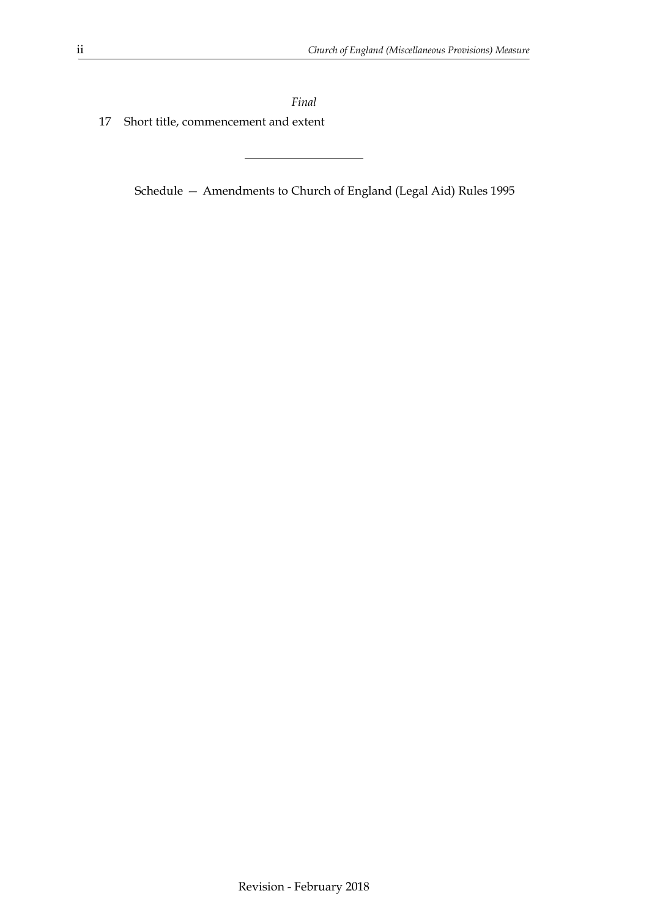*Final* [17 Short title, commencement and extent](#page-13-1)

Schedule [— Amendments to Church of England \(Legal Aid\) Rules 1995](#page-15-0)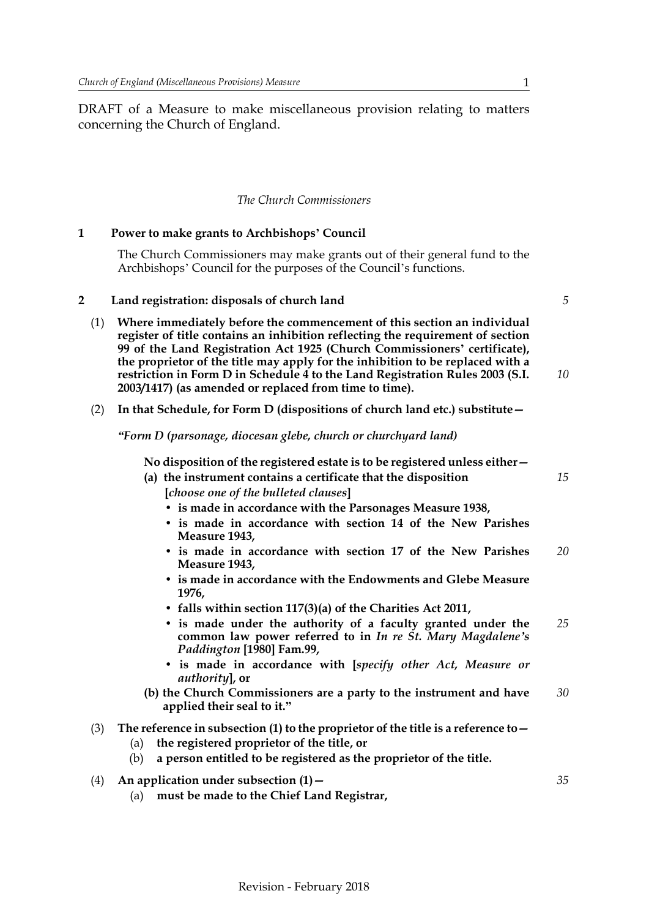DRAFT of a Measure to make miscellaneous provision relating to matters concerning the Church of England.

#### *The Church Commissioners*

#### **1 Power to make grants to Archbishops' Council**

<span id="page-2-1"></span><span id="page-2-0"></span>The Church Commissioners may make grants out of their general fund to the Archbishops' Council for the purposes of the Council's functions.

#### <span id="page-2-2"></span>**2 Land registration: disposals of church land**

- (1) **Where immediately before the commencement of this section an individual register of title contains an inhibition reflecting the requirement of section 99 of the Land Registration Act 1925 (Church Commissioners' certificate), the proprietor of the title may apply for the inhibition to be replaced with a restriction in Form D in Schedule 4 to the Land Registration Rules 2003 (S.I. 2003/1417) (as amended or replaced from time to time).**
- (2) **In that Schedule, for Form D (dispositions of church land etc.) substitute—**

*"Form D (parsonage, diocesan glebe, church or churchyard land)*

**No disposition of the registered estate is to be registered unless either—**

- **(a) the instrument contains a certificate that the disposition [***choose one of the bulleted clauses***]**
	- **is made in accordance with the Parsonages Measure 1938,**
	- **is made in accordance with section 14 of the New Parishes Measure 1943,**
	- **is made in accordance with section 17 of the New Parishes Measure 1943,** *20*
	- **is made in accordance with the Endowments and Glebe Measure 1976,**
	- **falls within section 117(3)(a) of the Charities Act 2011,**
	- **is made under the authority of a faculty granted under the common law power referred to in** *In re St. Mary Magdalene's Paddington* **[1980] Fam.99,** *25*
	- **is made in accordance with [***specify other Act, Measure or authority***], or**
- **(b) the Church Commissioners are a party to the instrument and have applied their seal to it."** *30*
- (3) **The reference in subsection (1) to the proprietor of the title is a reference to—**
	- (a) **the registered proprietor of the title, or**
	- (b) **a person entitled to be registered as the proprietor of the title.**
- (4) **An application under subsection (1)—**
	- (a) **must be made to the Chief Land Registrar,**

*35*

*5*

*10*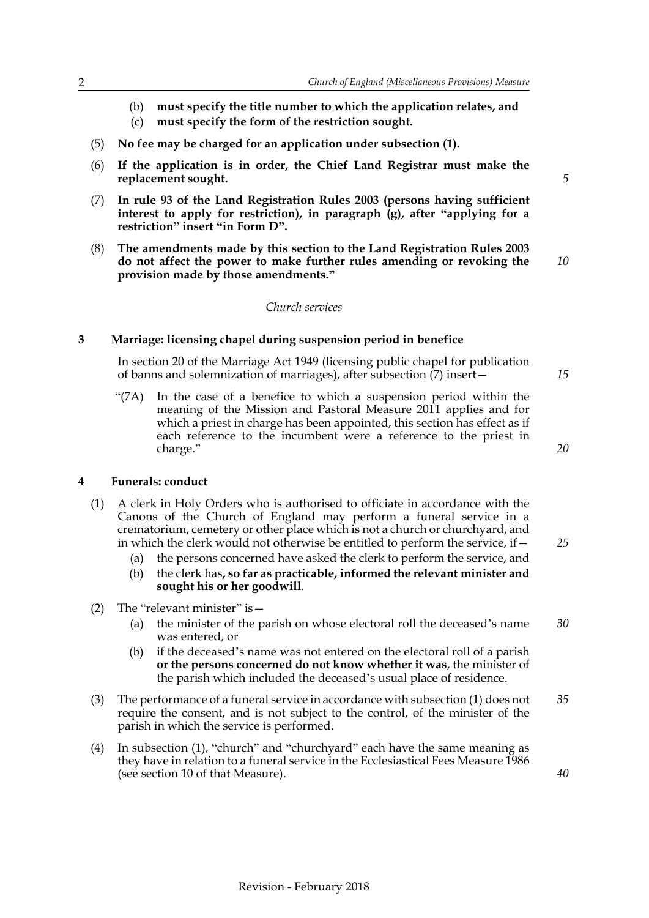- (b) **must specify the title number to which the application relates, and**
- (c) **must specify the form of the restriction sought.**
- (5) **No fee may be charged for an application under subsection (1).**
- (6) **If the application is in order, the Chief Land Registrar must make the replacement sought.**
- (7) **In rule 93 of the Land Registration Rules 2003 (persons having sufficient interest to apply for restriction), in paragraph (g), after "applying for a restriction" insert "in Form D".**
- (8) **The amendments made by this section to the Land Registration Rules 2003 do not affect the power to make further rules amending or revoking the provision made by those amendments."** *10*

#### *Church services*

#### **3 Marriage: licensing chapel during suspension period in benefice**

<span id="page-3-0"></span>In section 20 of the Marriage Act 1949 (licensing public chapel for publication of banns and solemnization of marriages), after subsection  $(7)$  insert –

"(7A) In the case of a benefice to which a suspension period within the meaning of the Mission and Pastoral Measure 2011 applies and for which a priest in charge has been appointed, this section has effect as if each reference to the incumbent were a reference to the priest in charge."

*20*

*25*

*15*

*5*

#### <span id="page-3-1"></span>**4 Funerals: conduct**

- (1) A clerk in Holy Orders who is authorised to officiate in accordance with the Canons of the Church of England may perform a funeral service in a crematorium, cemetery or other place which is not a church or churchyard, and in which the clerk would not otherwise be entitled to perform the service, if—
	- (a) the persons concerned have asked the clerk to perform the service, and
	- (b) the clerk has**, so far as practicable, informed the relevant minister and sought his or her goodwill**.
- (2) The "relevant minister" is—
	- (a) the minister of the parish on whose electoral roll the deceased's name was entered, or *30*
	- (b) if the deceased's name was not entered on the electoral roll of a parish **or the persons concerned do not know whether it was**, the minister of the parish which included the deceased's usual place of residence.
- (3) The performance of a funeral service in accordance with subsection (1) does not require the consent, and is not subject to the control, of the minister of the parish in which the service is performed. *35*
- (4) In subsection (1), "church" and "churchyard" each have the same meaning as they have in relation to a funeral service in the Ecclesiastical Fees Measure 1986 (see section 10 of that Measure).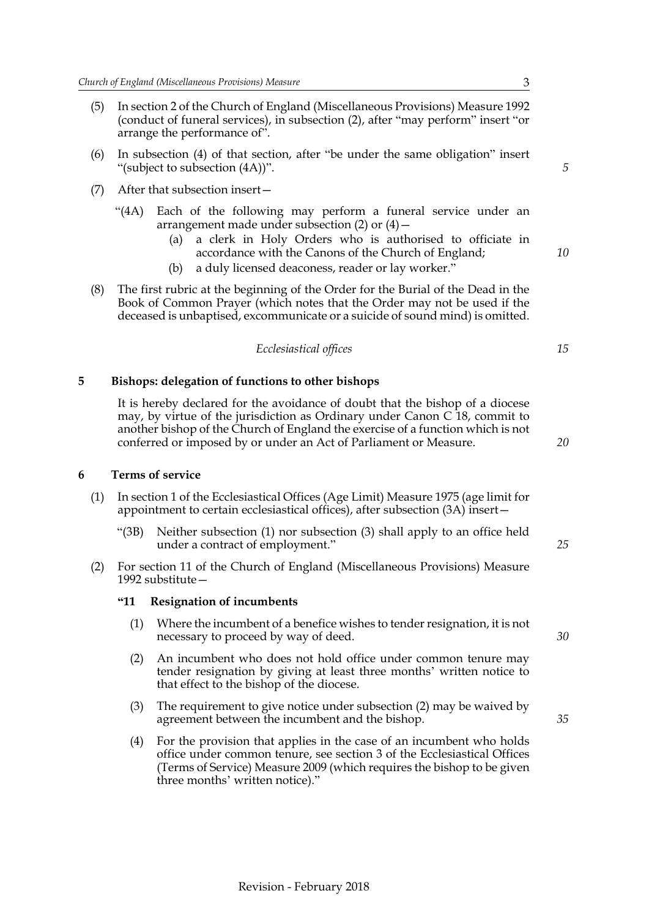- (5) In section 2 of the Church of England (Miscellaneous Provisions) Measure 1992 (conduct of funeral services), in subsection (2), after "may perform" insert "or arrange the performance of".
- (6) In subsection (4) of that section, after "be under the same obligation" insert "(subject to subsection (4A))".
- (7) After that subsection insert—
	- "(4A) Each of the following may perform a funeral service under an arrangement made under subsection (2) or (4)—
		- (a) a clerk in Holy Orders who is authorised to officiate in accordance with the Canons of the Church of England;
		- (b) a duly licensed deaconess, reader or lay worker."
- (8) The first rubric at the beginning of the Order for the Burial of the Dead in the Book of Common Prayer (which notes that the Order may not be used if the deceased is unbaptised, excommunicate or a suicide of sound mind) is omitted.

|  | Ecclesiastical offices |  |
|--|------------------------|--|
|  |                        |  |

#### **5 Bishops: delegation of functions to other bishops**

<span id="page-4-0"></span>It is hereby declared for the avoidance of doubt that the bishop of a diocese may, by virtue of the jurisdiction as Ordinary under Canon C 18, commit to another bishop of the Church of England the exercise of a function which is not conferred or imposed by or under an Act of Parliament or Measure.

#### <span id="page-4-2"></span><span id="page-4-1"></span>**6 Terms of service**

- (1) In section 1 of the Ecclesiastical Offices (Age Limit) Measure 1975 (age limit for appointment to certain ecclesiastical offices), after subsection (3A) insert—
	- "(3B) Neither subsection (1) nor subsection (3) shall apply to an office held under a contract of employment."
- (2) For section 11 of the Church of England (Miscellaneous Provisions) Measure 1992 substitute—

#### **"11 Resignation of incumbents**

- (1) Where the incumbent of a benefice wishes to tender resignation, it is not necessary to proceed by way of deed.
- (2) An incumbent who does not hold office under common tenure may tender resignation by giving at least three months' written notice to that effect to the bishop of the diocese.
- (3) The requirement to give notice under subsection (2) may be waived by agreement between the incumbent and the bishop.
- (4) For the provision that applies in the case of an incumbent who holds office under common tenure, see section 3 of the Ecclesiastical Offices (Terms of Service) Measure 2009 (which requires the bishop to be given three months' written notice)."

*5*

*10*

*15*

*20*

*25*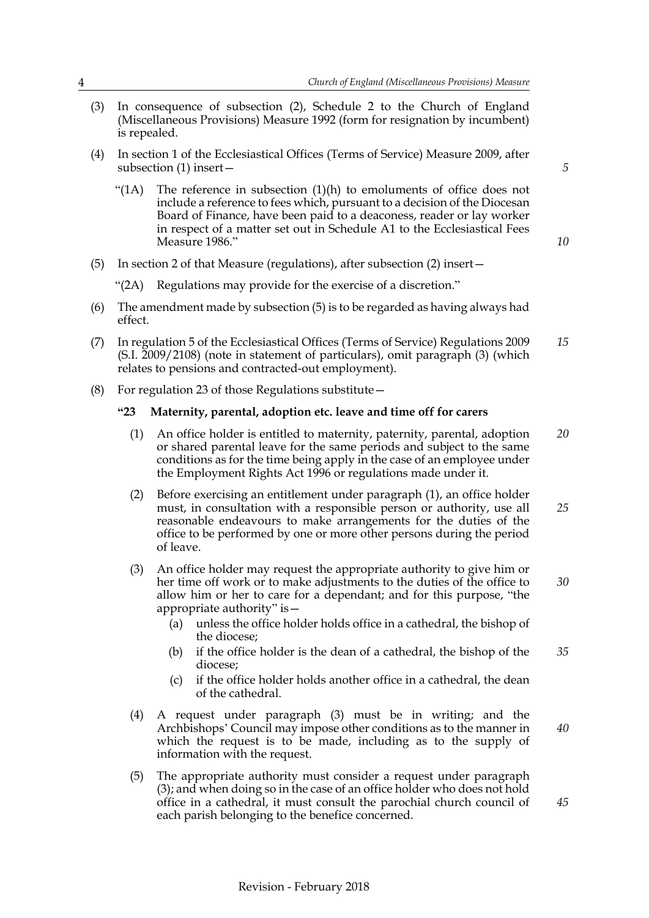- (3) In consequence of subsection (2), Schedule 2 to the Church of England (Miscellaneous Provisions) Measure 1992 (form for resignation by incumbent) is repealed.
- (4) In section 1 of the Ecclesiastical Offices (Terms of Service) Measure 2009, after subsection (1) insert—

"(1A) The reference in subsection  $(1)(h)$  to emoluments of office does not include a reference to fees which, pursuant to a decision of the Diocesan Board of Finance, have been paid to a deaconess, reader or lay worker in respect of a matter set out in Schedule A1 to the Ecclesiastical Fees Measure 1986."

*10*

*40*

*45*

- (5) In section 2 of that Measure (regulations), after subsection (2) insert—
	- "(2A) Regulations may provide for the exercise of a discretion."
- (6) The amendment made by subsection (5) is to be regarded as having always had effect.
- (7) In regulation 5 of the Ecclesiastical Offices (Terms of Service) Regulations 2009 (S.I. 2009/2108) (note in statement of particulars), omit paragraph (3) (which relates to pensions and contracted-out employment). *15*
- (8) For regulation 23 of those Regulations substitute—

#### **"23 Maternity, parental, adoption etc. leave and time off for carers**

- (1) An office holder is entitled to maternity, paternity, parental, adoption or shared parental leave for the same periods and subject to the same conditions as for the time being apply in the case of an employee under the Employment Rights Act 1996 or regulations made under it. *20*
- (2) Before exercising an entitlement under paragraph (1), an office holder must, in consultation with a responsible person or authority, use all reasonable endeavours to make arrangements for the duties of the office to be performed by one or more other persons during the period of leave. *25*
- (3) An office holder may request the appropriate authority to give him or her time off work or to make adjustments to the duties of the office to allow him or her to care for a dependant; and for this purpose, "the appropriate authority" is— *30*
	- (a) unless the office holder holds office in a cathedral, the bishop of the diocese;
	- (b) if the office holder is the dean of a cathedral, the bishop of the diocese; *35*
	- (c) if the office holder holds another office in a cathedral, the dean of the cathedral.
- (4) A request under paragraph (3) must be in writing; and the Archbishops' Council may impose other conditions as to the manner in which the request is to be made, including as to the supply of information with the request.
- (5) The appropriate authority must consider a request under paragraph (3); and when doing so in the case of an office holder who does not hold office in a cathedral, it must consult the parochial church council of each parish belonging to the benefice concerned.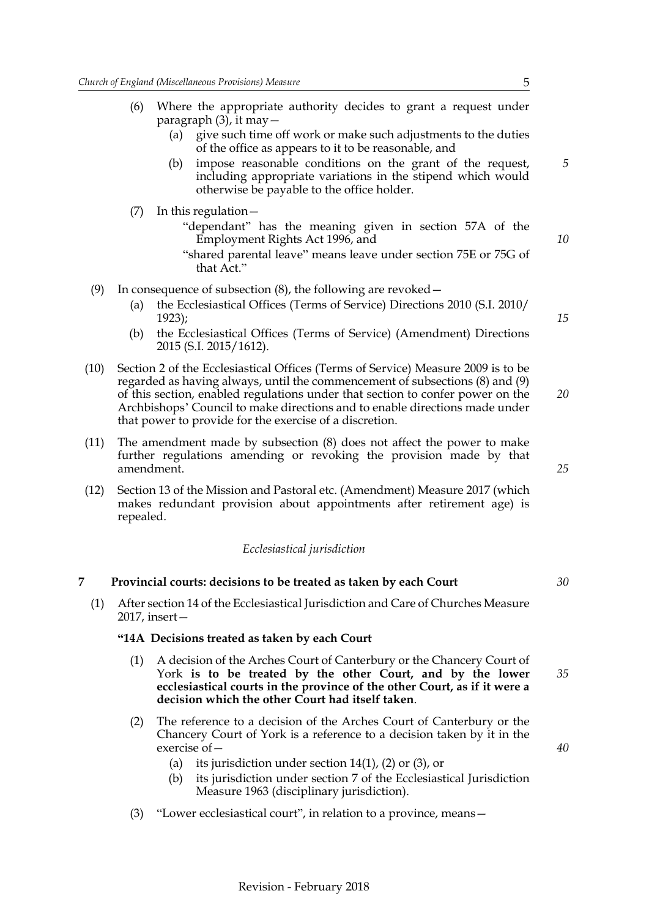|      | (6) | Where the appropriate authority decides to grant a request under<br>paragraph $(3)$ , it may $-$                                                                                                                                                                                                                                                                                             |    |
|------|-----|----------------------------------------------------------------------------------------------------------------------------------------------------------------------------------------------------------------------------------------------------------------------------------------------------------------------------------------------------------------------------------------------|----|
|      |     | give such time off work or make such adjustments to the duties<br>(a)<br>of the office as appears to it to be reasonable, and                                                                                                                                                                                                                                                                |    |
|      |     | impose reasonable conditions on the grant of the request,<br>(b)<br>including appropriate variations in the stipend which would<br>otherwise be payable to the office holder.                                                                                                                                                                                                                | 5  |
|      | (7) | In this regulation $-$                                                                                                                                                                                                                                                                                                                                                                       |    |
|      |     | "dependant" has the meaning given in section 57A of the<br>Employment Rights Act 1996, and                                                                                                                                                                                                                                                                                                   | 10 |
|      |     | "shared parental leave" means leave under section 75E or 75G of<br>that Act."                                                                                                                                                                                                                                                                                                                |    |
| (9)  |     | In consequence of subsection $(8)$ , the following are revoked $-$                                                                                                                                                                                                                                                                                                                           |    |
|      | (a) | the Ecclesiastical Offices (Terms of Service) Directions 2010 (S.I. 2010/<br>1923);                                                                                                                                                                                                                                                                                                          | 15 |
|      | (b) | the Ecclesiastical Offices (Terms of Service) (Amendment) Directions<br>2015 (S.I. 2015/1612).                                                                                                                                                                                                                                                                                               |    |
| (10) |     | Section 2 of the Ecclesiastical Offices (Terms of Service) Measure 2009 is to be<br>regarded as having always, until the commencement of subsections (8) and (9)<br>of this section, enabled regulations under that section to confer power on the<br>Archbishops' Council to make directions and to enable directions made under<br>that power to provide for the exercise of a discretion. | 20 |

- (11) The amendment made by subsection (8) does not affect the power to make further regulations amending or revoking the provision made by that amendment.
- (12) Section 13 of the Mission and Pastoral etc. (Amendment) Measure 2017 (which makes redundant provision about appointments after retirement age) is repealed.

#### *Ecclesiastical jurisdiction*

#### <span id="page-6-0"></span>**7 Provincial courts: decisions to be treated as taken by each Court** *30*

(1) After section 14 of the Ecclesiastical Jurisdiction and Care of Churches Measure 2017, insert—

#### **"14A Decisions treated as taken by each Court**

- (1) A decision of the Arches Court of Canterbury or the Chancery Court of York **is to be treated by the other Court, and by the lower ecclesiastical courts in the province of the other Court, as if it were a decision which the other Court had itself taken**. *35*
- (2) The reference to a decision of the Arches Court of Canterbury or the Chancery Court of York is a reference to a decision taken by it in the exercise of—
	- (a) its jurisdiction under section  $14(1)$ , (2) or (3), or
	- (b) its jurisdiction under section 7 of the Ecclesiastical Jurisdiction Measure 1963 (disciplinary jurisdiction).
- (3) "Lower ecclesiastical court", in relation to a province, means—

- 
- *25*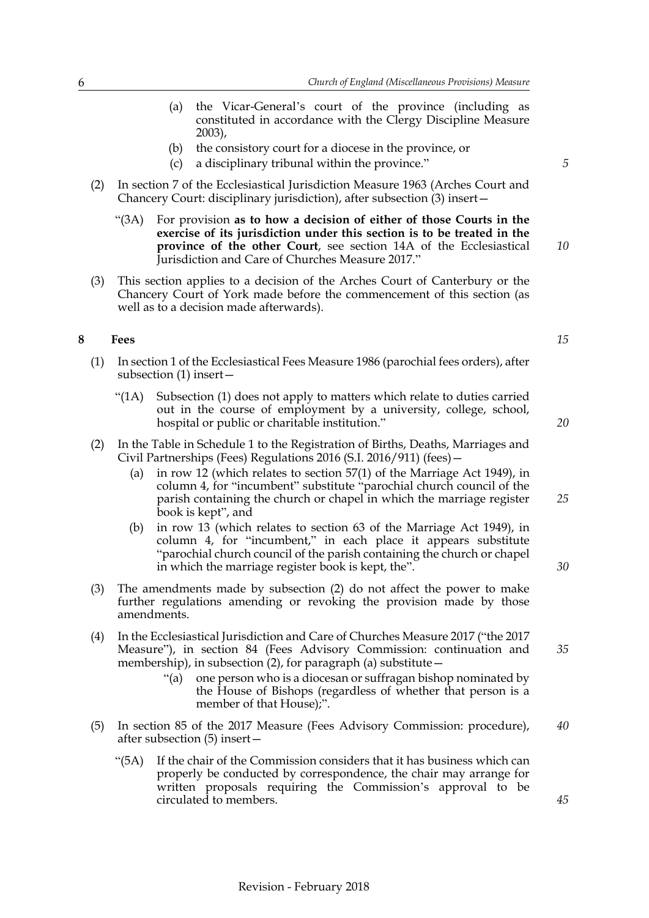- (a) the Vicar-General's court of the province (including as constituted in accordance with the Clergy Discipline Measure 2003),
- (b) the consistory court for a diocese in the province, or
- (c) a disciplinary tribunal within the province."
- (2) In section 7 of the Ecclesiastical Jurisdiction Measure 1963 (Arches Court and Chancery Court: disciplinary jurisdiction), after subsection (3) insert—
	- "(3A) For provision **as to how a decision of either of those Courts in the exercise of its jurisdiction under this section is to be treated in the province of the other Court**, see section 14A of the Ecclesiastical Jurisdiction and Care of Churches Measure 2017."
- (3) This section applies to a decision of the Arches Court of Canterbury or the Chancery Court of York made before the commencement of this section (as well as to a decision made afterwards).

#### <span id="page-7-1"></span><span id="page-7-0"></span>**8 Fees**

- (1) In section 1 of the Ecclesiastical Fees Measure 1986 (parochial fees orders), after subsection (1) insert—
	- "(1A) Subsection (1) does not apply to matters which relate to duties carried out in the course of employment by a university, college, school, hospital or public or charitable institution."
- (2) In the Table in Schedule 1 to the Registration of Births, Deaths, Marriages and Civil Partnerships (Fees) Regulations 2016 (S.I. 2016/911) (fees)—
	- (a) in row 12 (which relates to section 57(1) of the Marriage Act 1949), in column 4, for "incumbent" substitute "parochial church council of the parish containing the church or chapel in which the marriage register book is kept", and
	- (b) in row 13 (which relates to section 63 of the Marriage Act 1949), in column 4, for "incumbent," in each place it appears substitute "parochial church council of the parish containing the church or chapel in which the marriage register book is kept, the".
- (3) The amendments made by subsection (2) do not affect the power to make further regulations amending or revoking the provision made by those amendments.
- (4) In the Ecclesiastical Jurisdiction and Care of Churches Measure 2017 ("the 2017 Measure"), in section 84 (Fees Advisory Commission: continuation and membership), in subsection  $(2)$ , for paragraph  $(a)$  substitute –
	- "(a) one person who is a diocesan or suffragan bishop nominated by the House of Bishops (regardless of whether that person is a member of that House);".
- (5) In section 85 of the 2017 Measure (Fees Advisory Commission: procedure), after subsection (5) insert— *40*
	- "(5A) If the chair of the Commission considers that it has business which can properly be conducted by correspondence, the chair may arrange for written proposals requiring the Commission's approval to be circulated to members.

*10*

*5*

*15*

*20*

*25*

*30*

*35*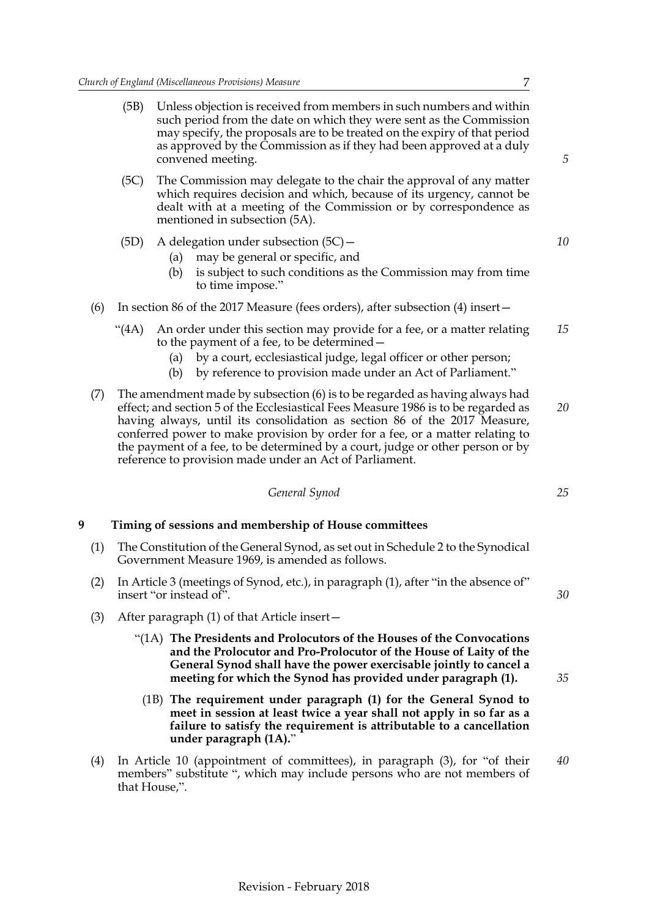- (5B) Unless objection is received from members in such numbers and within such period from the date on which they were sent as the Commission may specify, the proposals are to be treated on the expiry of that period as approved by the Commission as if they had been approved at a duly convened meeting.
- (5C) The Commission may delegate to the chair the approval of any matter which requires decision and which, because of its urgency, cannot be dealt with at a meeting of the Commission or by correspondence as mentioned in subsection (5A).

#### (5D) A delegation under subsection (5C)—

- (a) may be general or specific, and
- (b) is subject to such conditions as the Commission may from time to time impose."

#### (6) In section 86 of the 2017 Measure (fees orders), after subsection (4) insert—

- "(4A) An order under this section may provide for a fee, or a matter relating to the payment of a fee, to be determined— *15*
	- (a) by a court, ecclesiastical judge, legal officer or other person;
	- (b) by reference to provision made under an Act of Parliament."
- (7) The amendment made by subsection (6) is to be regarded as having always had effect; and section 5 of the Ecclesiastical Fees Measure 1986 is to be regarded as having always, until its consolidation as section 86 of the 2017 Measure, conferred power to make provision by order for a fee, or a matter relating to the payment of a fee, to be determined by a court, judge or other person or by reference to provision made under an Act of Parliament. *20*

*General Synod*

#### <span id="page-8-1"></span><span id="page-8-0"></span>**9 Timing of sessions and membership of House committees**

- (1) The Constitution of the General Synod, as set out in Schedule 2 to the Synodical Government Measure 1969, is amended as follows.
- (2) In Article 3 (meetings of Synod, etc.), in paragraph (1), after "in the absence of" insert "or instead of".
- (3) After paragraph (1) of that Article insert—
	- "(1A) **The Presidents and Prolocutors of the Houses of the Convocations and the Prolocutor and Pro-Prolocutor of the House of Laity of the General Synod shall have the power exercisable jointly to cancel a meeting for which the Synod has provided under paragraph (1).**
	- (1B) **The requirement under paragraph (1) for the General Synod to meet in session at least twice a year shall not apply in so far as a failure to satisfy the requirement is attributable to a cancellation under paragraph (1A).**"
- (4) In Article 10 (appointment of committees), in paragraph (3), for "of their members" substitute ", which may include persons who are not members of that House,". *40*

*30*

#### *10*

*5*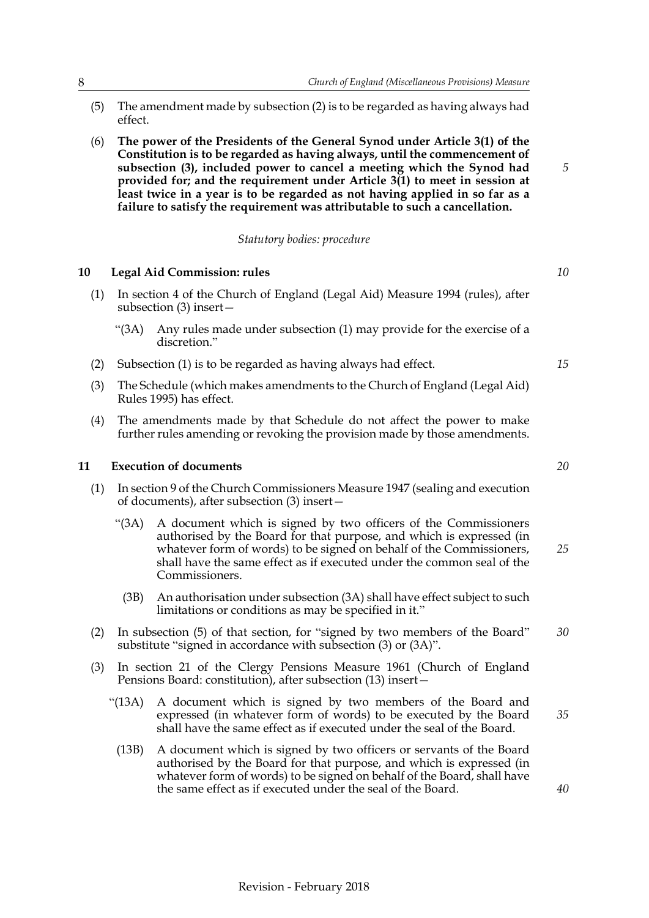- (5) The amendment made by subsection (2) is to be regarded as having always had effect.
- (6) **The power of the Presidents of the General Synod under Article 3(1) of the Constitution is to be regarded as having always, until the commencement of subsection (3), included power to cancel a meeting which the Synod had provided for; and the requirement under Article 3(1) to meet in session at least twice in a year is to be regarded as not having applied in so far as a failure to satisfy the requirement was attributable to such a cancellation.**

#### *Statutory bodies: procedure*

#### <span id="page-9-2"></span><span id="page-9-0"></span>**10 Legal Aid Commission: rules**

- (1) In section 4 of the Church of England (Legal Aid) Measure 1994 (rules), after subsection (3) insert—
	- "(3A) Any rules made under subsection (1) may provide for the exercise of a discretion."
- (2) Subsection (1) is to be regarded as having always had effect.
- (3) The Schedule (which makes amendments to the Church of England (Legal Aid) Rules 1995) has effect.
- (4) The amendments made by that Schedule do not affect the power to make further rules amending or revoking the provision made by those amendments.

#### <span id="page-9-3"></span><span id="page-9-1"></span>**11 Execution of documents**

- (1) In section 9 of the Church Commissioners Measure 1947 (sealing and execution of documents), after subsection (3) insert—
	- "(3A) A document which is signed by two officers of the Commissioners authorised by the Board for that purpose, and which is expressed (in whatever form of words) to be signed on behalf of the Commissioners, shall have the same effect as if executed under the common seal of the Commissioners.
		- (3B) An authorisation under subsection (3A) shall have effect subject to such limitations or conditions as may be specified in it."
- (2) In subsection (5) of that section, for "signed by two members of the Board" substitute "signed in accordance with subsection (3) or (3A)". *30*
- (3) In section 21 of the Clergy Pensions Measure 1961 (Church of England Pensions Board: constitution), after subsection (13) insert—
	- "(13A) A document which is signed by two members of the Board and expressed (in whatever form of words) to be executed by the Board shall have the same effect as if executed under the seal of the Board.
		- (13B) A document which is signed by two officers or servants of the Board authorised by the Board for that purpose, and which is expressed (in whatever form of words) to be signed on behalf of the Board, shall have the same effect as if executed under the seal of the Board.

*10*

*5*

*15*

*20*

*35*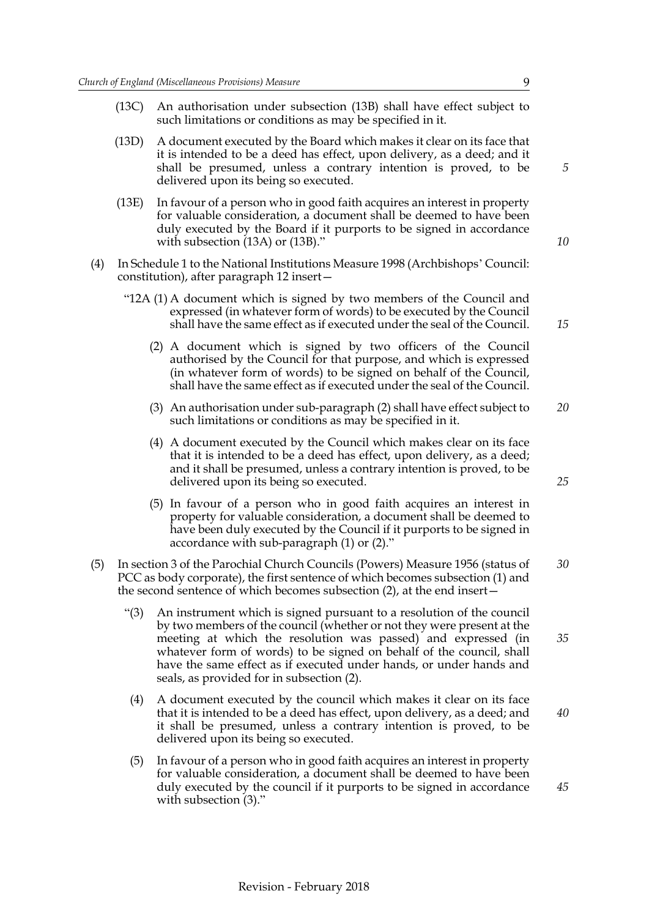- (13C) An authorisation under subsection (13B) shall have effect subject to such limitations or conditions as may be specified in it.
- (13D) A document executed by the Board which makes it clear on its face that it is intended to be a deed has effect, upon delivery, as a deed; and it shall be presumed, unless a contrary intention is proved, to be delivered upon its being so executed.
- (13E) In favour of a person who in good faith acquires an interest in property for valuable consideration, a document shall be deemed to have been duly executed by the Board if it purports to be signed in accordance with subsection (13A) or (13B)."
- (4) In Schedule 1 to the National Institutions Measure 1998 (Archbishops' Council: constitution), after paragraph 12 insert—
	- "12A (1) A document which is signed by two members of the Council and expressed (in whatever form of words) to be executed by the Council shall have the same effect as if executed under the seal of the Council.
		- (2) A document which is signed by two officers of the Council authorised by the Council for that purpose, and which is expressed (in whatever form of words) to be signed on behalf of the Council, shall have the same effect as if executed under the seal of the Council.
		- (3) An authorisation under sub-paragraph (2) shall have effect subject to such limitations or conditions as may be specified in it. *20*
		- (4) A document executed by the Council which makes clear on its face that it is intended to be a deed has effect, upon delivery, as a deed; and it shall be presumed, unless a contrary intention is proved, to be delivered upon its being so executed.
		- (5) In favour of a person who in good faith acquires an interest in property for valuable consideration, a document shall be deemed to have been duly executed by the Council if it purports to be signed in accordance with sub-paragraph (1) or (2)."
- (5) In section 3 of the Parochial Church Councils (Powers) Measure 1956 (status of PCC as body corporate), the first sentence of which becomes subsection (1) and the second sentence of which becomes subsection (2), at the end insert— *30*
	- "(3) An instrument which is signed pursuant to a resolution of the council by two members of the council (whether or not they were present at the meeting at which the resolution was passed) and expressed (in whatever form of words) to be signed on behalf of the council, shall have the same effect as if executed under hands, or under hands and seals, as provided for in subsection (2).
	- (4) A document executed by the council which makes it clear on its face that it is intended to be a deed has effect, upon delivery, as a deed; and it shall be presumed, unless a contrary intention is proved, to be delivered upon its being so executed. *40*
	- (5) In favour of a person who in good faith acquires an interest in property for valuable consideration, a document shall be deemed to have been duly executed by the council if it purports to be signed in accordance with subsection  $(3)$ ."

*15*

*10*

*25*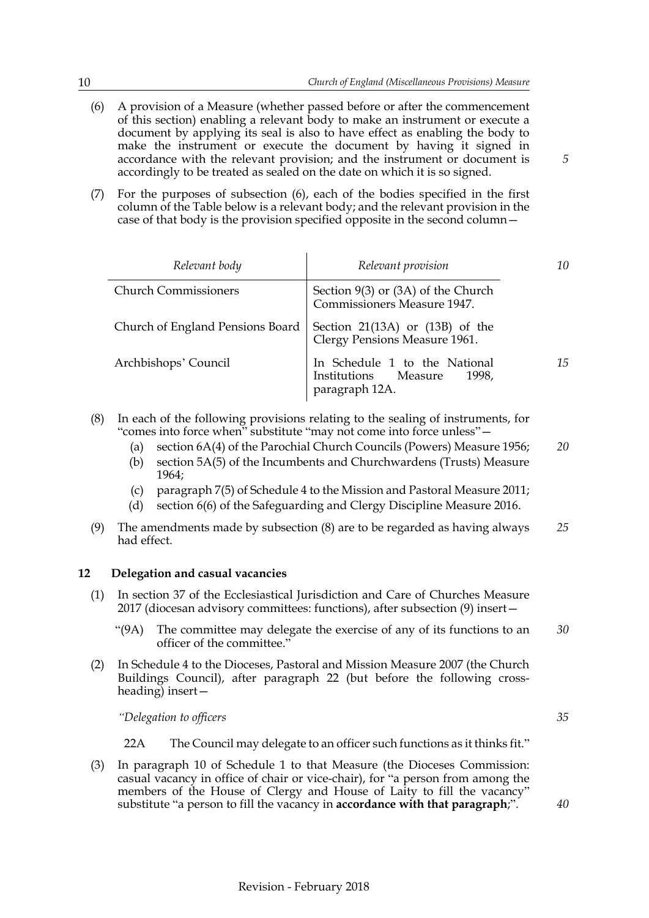- (6) A provision of a Measure (whether passed before or after the commencement of this section) enabling a relevant body to make an instrument or execute a document by applying its seal is also to have effect as enabling the body to make the instrument or execute the document by having it signed in accordance with the relevant provision; and the instrument or document is accordingly to be treated as sealed on the date on which it is so signed.
- (7) For the purposes of subsection (6), each of the bodies specified in the first column of the Table below is a relevant body; and the relevant provision in the case of that body is the provision specified opposite in the second column—

| Relevant body                    | Relevant provision                                                               | 10 |
|----------------------------------|----------------------------------------------------------------------------------|----|
| <b>Church Commissioners</b>      | Section $9(3)$ or $(3A)$ of the Church<br>Commissioners Measure 1947.            |    |
| Church of England Pensions Board | Section $21(13A)$ or $(13B)$ of the<br>Clergy Pensions Measure 1961.             |    |
| Archbishops' Council             | In Schedule 1 to the National<br>Institutions Measure<br>1998.<br>paragraph 12A. | 15 |

- (8) In each of the following provisions relating to the sealing of instruments, for "comes into force when" substitute "may not come into force unless"—
	- (a) section 6A(4) of the Parochial Church Councils (Powers) Measure 1956; *20*
	- (b) section 5A(5) of the Incumbents and Churchwardens (Trusts) Measure 1964;
	- (c) paragraph 7(5) of Schedule 4 to the Mission and Pastoral Measure 2011;
	- (d) section 6(6) of the Safeguarding and Clergy Discipline Measure 2016.
- (9) The amendments made by subsection (8) are to be regarded as having always had effect. *25*

#### <span id="page-11-0"></span>**12 Delegation and casual vacancies**

- (1) In section 37 of the Ecclesiastical Jurisdiction and Care of Churches Measure 2017 (diocesan advisory committees: functions), after subsection (9) insert—
	- "(9A) The committee may delegate the exercise of any of its functions to an officer of the committee." *30*
- (2) In Schedule 4 to the Dioceses, Pastoral and Mission Measure 2007 (the Church Buildings Council), after paragraph 22 (but before the following crossheading) insert—

*"Delegation to officers*

- 22A The Council may delegate to an officer such functions as it thinks fit."
- (3) In paragraph 10 of Schedule 1 to that Measure (the Dioceses Commission: casual vacancy in office of chair or vice-chair), for "a person from among the members of the House of Clergy and House of Laity to fill the vacancy" substitute "a person to fill the vacancy in **accordance with that paragraph**;".

*40*

*35*

*5*

Revision - February 2018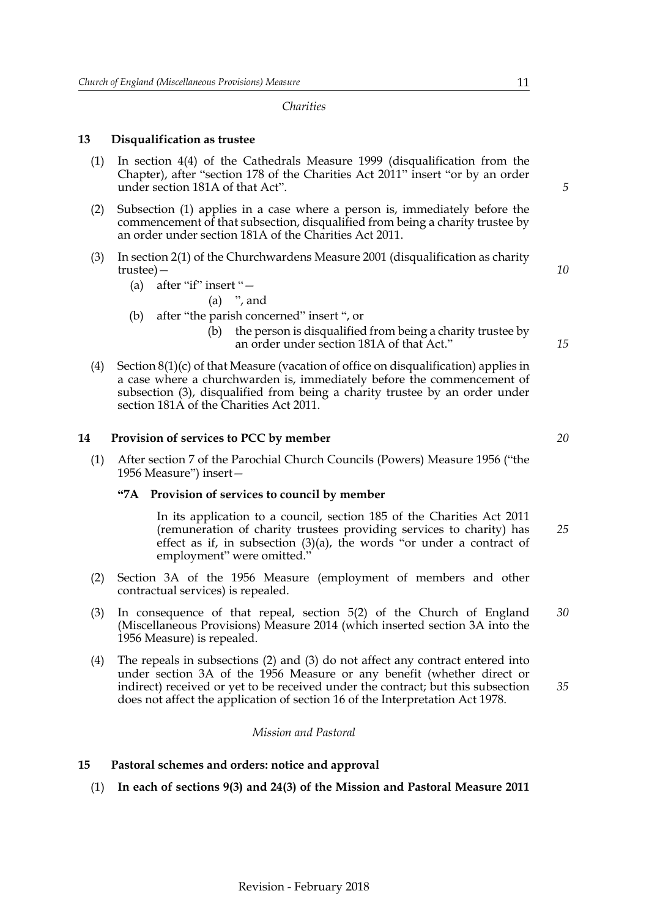#### *Charities*

#### <span id="page-12-0"></span>**13 Disqualification as trustee**

- (1) In section 4(4) of the Cathedrals Measure 1999 (disqualification from the Chapter), after "section 178 of the Charities Act 2011" insert "or by an order under section 181A of that Act".
- (2) Subsection (1) applies in a case where a person is, immediately before the commencement of that subsection, disqualified from being a charity trustee by an order under section 181A of the Charities Act 2011.
- (3) In section 2(1) of the Churchwardens Measure 2001 (disqualification as charity trustee)—
	- (a) after "if" insert "—
		- $(a)$  ", and
	- (b) after "the parish concerned" insert ", or
		- (b) the person is disqualified from being a charity trustee by an order under section 181A of that Act."
- (4) Section 8(1)(c) of that Measure (vacation of office on disqualification) applies in a case where a churchwarden is, immediately before the commencement of subsection (3), disqualified from being a charity trustee by an order under section 181A of the Charities Act 2011.

#### <span id="page-12-1"></span>**14 Provision of services to PCC by member**

(1) After section 7 of the Parochial Church Councils (Powers) Measure 1956 ("the 1956 Measure") insert—

#### **"7A Provision of services to council by member**

In its application to a council, section 185 of the Charities Act 2011 (remuneration of charity trustees providing services to charity) has effect as if, in subsection (3)(a), the words "or under a contract of employment" were omitted. *25*

- (2) Section 3A of the 1956 Measure (employment of members and other contractual services) is repealed.
- (3) In consequence of that repeal, section 5(2) of the Church of England (Miscellaneous Provisions) Measure 2014 (which inserted section 3A into the 1956 Measure) is repealed. *30*
- (4) The repeals in subsections (2) and (3) do not affect any contract entered into under section 3A of the 1956 Measure or any benefit (whether direct or indirect) received or yet to be received under the contract; but this subsection does not affect the application of section 16 of the Interpretation Act 1978.

#### *Mission and Pastoral*

#### <span id="page-12-2"></span>**15 Pastoral schemes and orders: notice and approval**

(1) **In each of sections 9(3) and 24(3) of the Mission and Pastoral Measure 2011**

*5*

*10*

*15*

*20*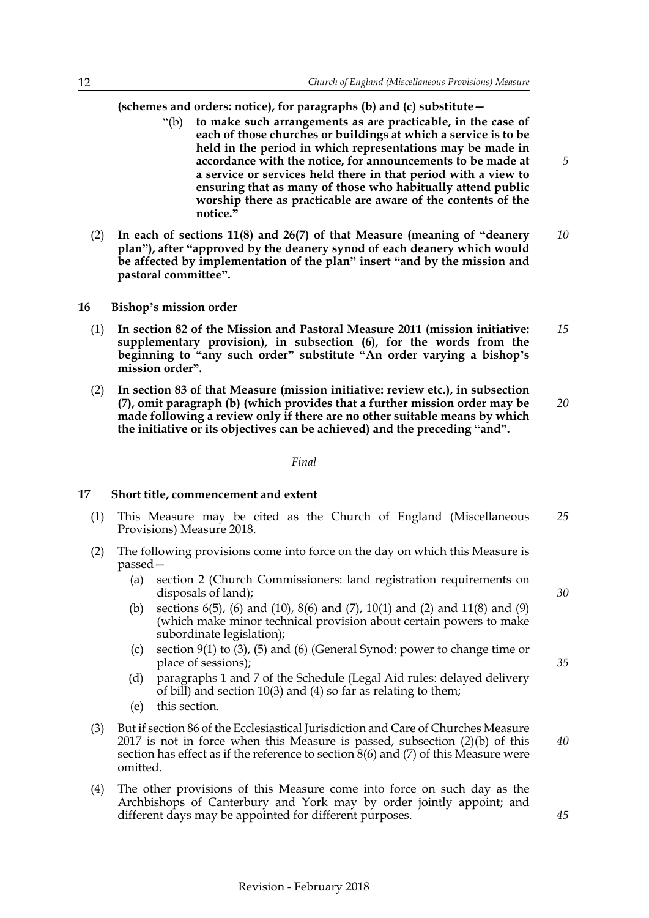**(schemes and orders: notice), for paragraphs (b) and (c) substitute—**

- "(b) **to make such arrangements as are practicable, in the case of each of those churches or buildings at which a service is to be held in the period in which representations may be made in accordance with the notice, for announcements to be made at a service or services held there in that period with a view to ensuring that as many of those who habitually attend public worship there as practicable are aware of the contents of the notice."**
- (2) **In each of sections 11(8) and 26(7) of that Measure (meaning of "deanery plan"), after "approved by the deanery synod of each deanery which would be affected by implementation of the plan" insert "and by the mission and pastoral committee".** *10*
- <span id="page-13-0"></span>**16 Bishop's mission order**
	- (1) **In section 82 of the Mission and Pastoral Measure 2011 (mission initiative: supplementary provision), in subsection (6), for the words from the beginning to "any such order" substitute "An order varying a bishop's mission order".** *15*
	- (2) **In section 83 of that Measure (mission initiative: review etc.), in subsection (7), omit paragraph (b) (which provides that a further mission order may be made following a review only if there are no other suitable means by which the initiative or its objectives can be achieved) and the preceding "and".** *20*

#### *Final*

#### <span id="page-13-1"></span>**17 Short title, commencement and extent**

- (1) This Measure may be cited as the Church of England (Miscellaneous Provisions) Measure 2018. *25*
- (2) The following provisions come into force on the day on which this Measure is passed—
	- (a) section [2](#page-2-2) (Church Commissioners: land registration requirements on disposals of land);
	- (b) sections [6\(](#page-4-2)5), (6) and (10), [8\(](#page-7-1)6) and (7), [10](#page-9-2)(1) and (2) and [11\(](#page-9-3)8) and (9) (which make minor technical provision about certain powers to make subordinate legislation);
	- (c) section [9](#page-8-1)(1) to (3), (5) and (6) (General Synod: power to change time or place of sessions);
	- (d) paragraphs 1 and 7 of the Schedule (Legal Aid rules: delayed delivery of bill) and section [10\(](#page-9-2)3) and (4) so far as relating to them;
	- (e) this section.
- (3) But if section 86 of the Ecclesiastical Jurisdiction and Care of Churches Measure 2017 is not in force when this Measure is passed, subsection (2)(b) of this section has effect as if the reference to section  $8(6)$  and  $(7)$  of this Measure were omitted.
- (4) The other provisions of this Measure come into force on such day as the Archbishops of Canterbury and York may by order jointly appoint; and different days may be appointed for different purposes.

*40*

*35*

*30*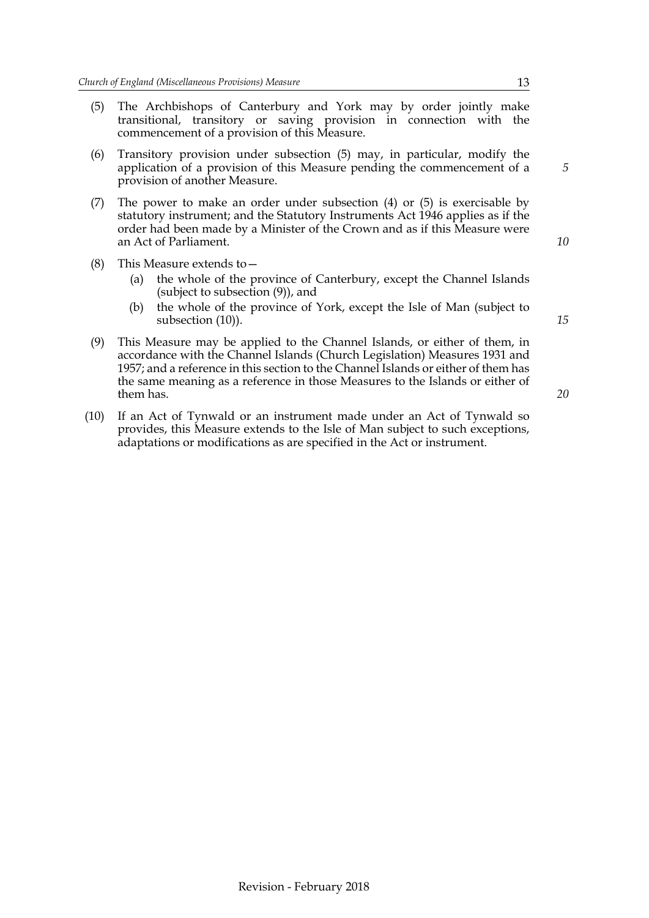- (5) The Archbishops of Canterbury and York may by order jointly make transitional, transitory or saving provision in connection with the commencement of a provision of this Measure.
- (6) Transitory provision under subsection (5) may, in particular, modify the application of a provision of this Measure pending the commencement of a provision of another Measure.
- (7) The power to make an order under subsection (4) or (5) is exercisable by statutory instrument; and the Statutory Instruments Act 1946 applies as if the order had been made by a Minister of the Crown and as if this Measure were an Act of Parliament.
- (8) This Measure extends to—
	- (a) the whole of the province of Canterbury, except the Channel Islands (subject to subsection (9)), and
	- (b) the whole of the province of York, except the Isle of Man (subject to subsection (10)).
- (9) This Measure may be applied to the Channel Islands, or either of them, in accordance with the Channel Islands (Church Legislation) Measures 1931 and 1957; and a reference in this section to the Channel Islands or either of them has the same meaning as a reference in those Measures to the Islands or either of them has.
- (10) If an Act of Tynwald or an instrument made under an Act of Tynwald so provides, this Measure extends to the Isle of Man subject to such exceptions, adaptations or modifications as are specified in the Act or instrument.

*15*

*5*

*10*

Revision - February 2018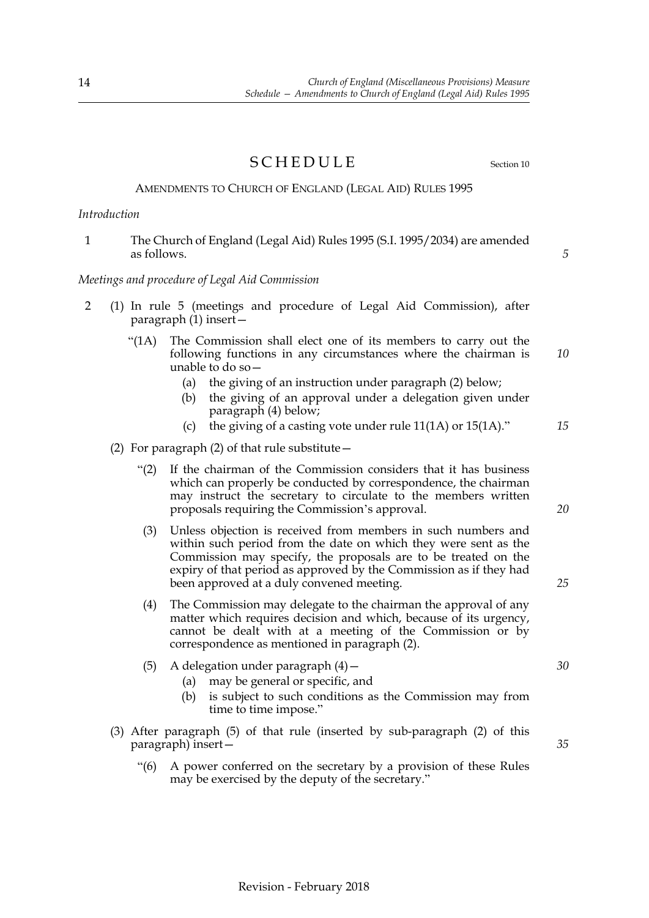*Schedule — Amendments to Church of England (Legal Aid) Rules 1995*

<span id="page-15-0"></span>*Church of England (Miscellaneous Provisions) Measure*

as follows.

#### *Meetings and procedure of Legal Aid Commission*

- 2 (1) In rule 5 (meetings and procedure of Legal Aid Commission), after paragraph  $(1)$  insert –
	- "(1A) The Commission shall elect one of its members to carry out the following functions in any circumstances where the chairman is unable to do so— *10*
		- (a) the giving of an instruction under paragraph (2) below;
		- (b) the giving of an approval under a delegation given under paragraph (4) below;
		- (c) the giving of a casting vote under rule 11(1A) or 15(1A)."
	- (2) For paragraph (2) of that rule substitute—
		- "(2) If the chairman of the Commission considers that it has business which can properly be conducted by correspondence, the chairman may instruct the secretary to circulate to the members written proposals requiring the Commission's approval.
		- (3) Unless objection is received from members in such numbers and within such period from the date on which they were sent as the Commission may specify, the proposals are to be treated on the expiry of that period as approved by the Commission as if they had been approved at a duly convened meeting.
		- (4) The Commission may delegate to the chairman the approval of any matter which requires decision and which, because of its urgency, cannot be dealt with at a meeting of the Commission or by correspondence as mentioned in paragraph (2).
		- (5) A delegation under paragraph  $(4)$  -
			- (a) may be general or specific, and
			- (b) is subject to such conditions as the Commission may from time to time impose."
	- (3) After paragraph (5) of that rule (inserted by sub-paragraph (2) of this paragraph) insert—
		- "(6) A power conferred on the secretary by a provision of these Rules may be exercised by the deputy of the secretary."

### SCHEDULE Section [10](#page-9-0)

AMENDMENTS TO CHURCH OF ENGLAND (LEGAL AID) RULES 1995

*20*

*25*

*30*

*35*

14

*Introduction*

*5*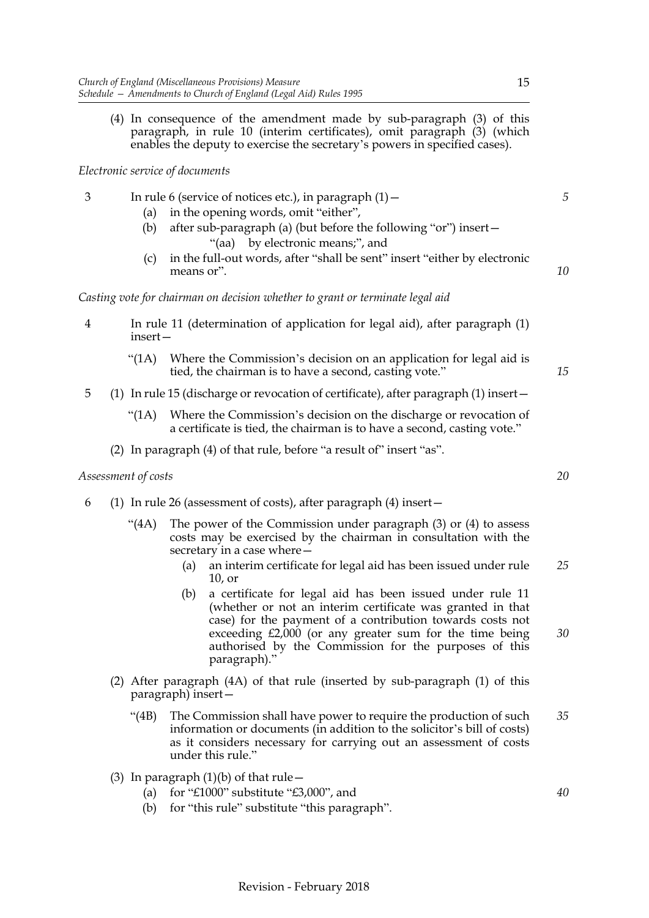(4) In consequence of the amendment made by sub-paragraph (3) of this paragraph, in rule 10 (interim certificates), omit paragraph (3) (which enables the deputy to exercise the secretary's powers in specified cases).

#### *Electronic service of documents*

- 3 In rule 6 (service of notices etc.), in paragraph (1)—
	- (a) in the opening words, omit "either",
	- (b) after sub-paragraph (a) (but before the following "or") insert— "(aa) by electronic means;", and
	- (c) in the full-out words, after "shall be sent" insert "either by electronic means or".

#### *Casting vote for chairman on decision whether to grant or terminate legal aid*

- 4 In rule 11 (determination of application for legal aid), after paragraph (1) insert—
	- "(1A) Where the Commission's decision on an application for legal aid is tied, the chairman is to have a second, casting vote."
- 5 (1) In rule 15 (discharge or revocation of certificate), after paragraph (1) insert—
	- "(1A) Where the Commission's decision on the discharge or revocation of a certificate is tied, the chairman is to have a second, casting vote."
	- (2) In paragraph (4) of that rule, before "a result of" insert "as".

#### *Assessment of costs*

- 6 (1) In rule 26 (assessment of costs), after paragraph (4) insert—
	- "(4A) The power of the Commission under paragraph (3) or (4) to assess costs may be exercised by the chairman in consultation with the secretary in a case where—
		- (a) an interim certificate for legal aid has been issued under rule 10, or *25*
		- (b) a certificate for legal aid has been issued under rule 11 (whether or not an interim certificate was granted in that case) for the payment of a contribution towards costs not exceeding £2,000 (or any greater sum for the time being authorised by the Commission for the purposes of this paragraph)."
	- (2) After paragraph (4A) of that rule (inserted by sub-paragraph (1) of this paragraph) insert—
		- "(4B) The Commission shall have power to require the production of such information or documents (in addition to the solicitor's bill of costs) as it considers necessary for carrying out an assessment of costs under this rule." *35*
	- (3) In paragraph  $(1)(b)$  of that rule  $-$ 
		- (a) for "£1000" substitute "£3,000", and
		- (b) for "this rule" substitute "this paragraph".

*5*

*10*

*15*

*20*

*30*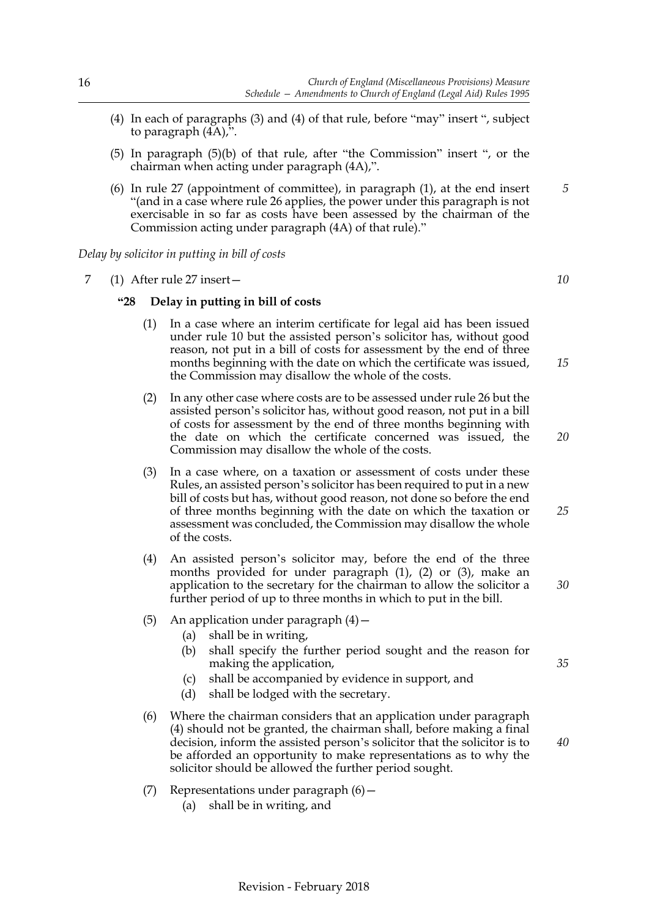- (4) In each of paragraphs (3) and (4) of that rule, before "may" insert ", subject to paragraph (4A),".
- (5) In paragraph (5)(b) of that rule, after "the Commission" insert ", or the chairman when acting under paragraph (4A),".
- (6) In rule 27 (appointment of committee), in paragraph (1), at the end insert "(and in a case where rule 26 applies, the power under this paragraph is not exercisable in so far as costs have been assessed by the chairman of the Commission acting under paragraph (4A) of that rule)."

*Delay by solicitor in putting in bill of costs*

7 (1) After rule 27 insert—

#### **"28 Delay in putting in bill of costs**

- (1) In a case where an interim certificate for legal aid has been issued under rule 10 but the assisted person's solicitor has, without good reason, not put in a bill of costs for assessment by the end of three months beginning with the date on which the certificate was issued, the Commission may disallow the whole of the costs.
- (2) In any other case where costs are to be assessed under rule 26 but the assisted person's solicitor has, without good reason, not put in a bill of costs for assessment by the end of three months beginning with the date on which the certificate concerned was issued, the Commission may disallow the whole of the costs.
- (3) In a case where, on a taxation or assessment of costs under these Rules, an assisted person's solicitor has been required to put in a new bill of costs but has, without good reason, not done so before the end of three months beginning with the date on which the taxation or assessment was concluded, the Commission may disallow the whole of the costs.
- (4) An assisted person's solicitor may, before the end of the three months provided for under paragraph (1), (2) or (3), make an application to the secretary for the chairman to allow the solicitor a further period of up to three months in which to put in the bill.
- (5) An application under paragraph  $(4)$  -
	- (a) shall be in writing,
	- (b) shall specify the further period sought and the reason for making the application,
	- (c) shall be accompanied by evidence in support, and
	- (d) shall be lodged with the secretary.
- (6) Where the chairman considers that an application under paragraph (4) should not be granted, the chairman shall, before making a final decision, inform the assisted person's solicitor that the solicitor is to be afforded an opportunity to make representations as to why the solicitor should be allowed the further period sought.
- (7) Representations under paragraph  $(6)$  -
	- (a) shall be in writing, and

Revision - February 2018

*40*

*35*

*5*

*10*

*15*

*20*

*25*